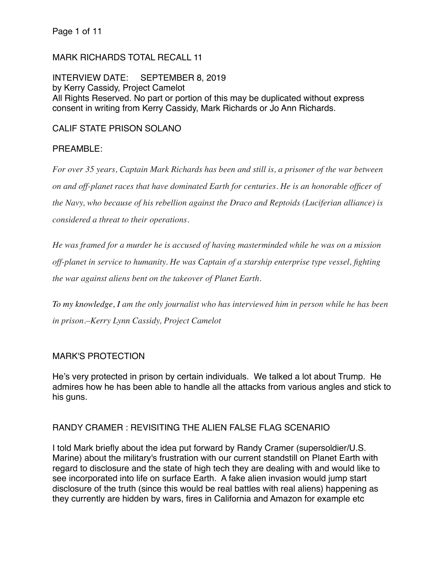# MARK RICHARDS TOTAL RECALL 11

INTERVIEW DATE: SEPTEMBER 8, 2019 by Kerry Cassidy, Project Camelot All Rights Reserved. No part or portion of this may be duplicated without express consent in writing from Kerry Cassidy, Mark Richards or Jo Ann Richards.

### CALIF STATE PRISON SOLANO

## PREAMBLE:

*For over 35 years, Captain Mark Richards has been and still is, a prisoner of the war between on and off-planet races that have dominated Earth for centuries. He is an honorable officer of the Navy, who because of his rebellion against the Draco and Reptoids (Luciferian alliance) is considered a threat to their operations.* 

*He was framed for a murder he is accused of having masterminded while he was on a mission off-planet in service to humanity. He was Captain of a starship enterprise type vessel, fighting the war against aliens bent on the takeover of Planet Earth.* 

*To my knowledge, I am the only journalist who has interviewed him in person while he has been in prison.–Kerry Lynn Cassidy, Project Camelot* 

### MARK'S PROTECTION

He's very protected in prison by certain individuals. We talked a lot about Trump. He admires how he has been able to handle all the attacks from various angles and stick to his guns.

### RANDY CRAMER : REVISITING THE ALIEN FALSE FLAG SCENARIO

I told Mark briefly about the idea put forward by Randy Cramer (supersoldier/U.S. Marine) about the military's frustration with our current standstill on Planet Earth with regard to disclosure and the state of high tech they are dealing with and would like to see incorporated into life on surface Earth. A fake alien invasion would jump start disclosure of the truth (since this would be real battles with real aliens) happening as they currently are hidden by wars, fires in California and Amazon for example etc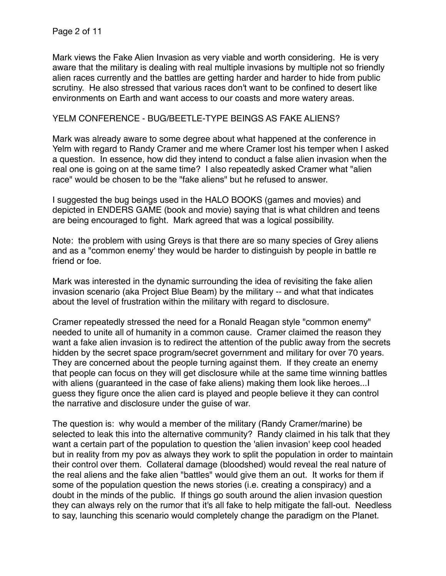Mark views the Fake Alien Invasion as very viable and worth considering. He is very aware that the military is dealing with real multiple invasions by multiple not so friendly alien races currently and the battles are getting harder and harder to hide from public scrutiny. He also stressed that various races don't want to be confined to desert like environments on Earth and want access to our coasts and more watery areas.

### YELM CONFERENCE - BUG/BEETLE-TYPE BEINGS AS FAKE ALIENS?

Mark was already aware to some degree about what happened at the conference in Yelm with regard to Randy Cramer and me where Cramer lost his temper when I asked a question. In essence, how did they intend to conduct a false alien invasion when the real one is going on at the same time? I also repeatedly asked Cramer what "alien race" would be chosen to be the "fake aliens" but he refused to answer.

I suggested the bug beings used in the HALO BOOKS (games and movies) and depicted in ENDERS GAME (book and movie) saying that is what children and teens are being encouraged to fight. Mark agreed that was a logical possibility.

Note: the problem with using Greys is that there are so many species of Grey aliens and as a "common enemy' they would be harder to distinguish by people in battle re friend or foe.

Mark was interested in the dynamic surrounding the idea of revisiting the fake alien invasion scenario (aka Project Blue Beam) by the military -- and what that indicates about the level of frustration within the military with regard to disclosure.

Cramer repeatedly stressed the need for a Ronald Reagan style "common enemy" needed to unite all of humanity in a common cause. Cramer claimed the reason they want a fake alien invasion is to redirect the attention of the public away from the secrets hidden by the secret space program/secret government and military for over 70 years. They are concerned about the people turning against them. If they create an enemy that people can focus on they will get disclosure while at the same time winning battles with aliens (guaranteed in the case of fake aliens) making them look like heroes...I guess they figure once the alien card is played and people believe it they can control the narrative and disclosure under the guise of war.

The question is: why would a member of the military (Randy Cramer/marine) be selected to leak this into the alternative community? Randy claimed in his talk that they want a certain part of the population to question the 'alien invasion' keep cool headed but in reality from my pov as always they work to split the population in order to maintain their control over them. Collateral damage (bloodshed) would reveal the real nature of the real aliens and the fake alien "battles" would give them an out. It works for them if some of the population question the news stories (i.e. creating a conspiracy) and a doubt in the minds of the public. If things go south around the alien invasion question they can always rely on the rumor that it's all fake to help mitigate the fall-out. Needless to say, launching this scenario would completely change the paradigm on the Planet.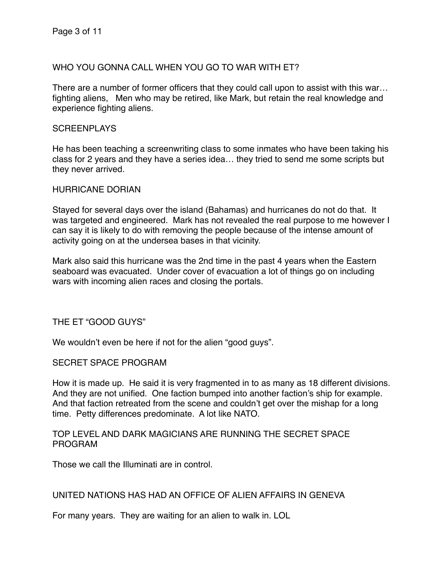# WHO YOU GONNA CALL WHEN YOU GO TO WAR WITH ET?

There are a number of former officers that they could call upon to assist with this war… fighting aliens, Men who may be retired, like Mark, but retain the real knowledge and experience fighting aliens.

#### **SCREENPLAYS**

He has been teaching a screenwriting class to some inmates who have been taking his class for 2 years and they have a series idea… they tried to send me some scripts but they never arrived.

#### HURRICANE DORIAN

Stayed for several days over the island (Bahamas) and hurricanes do not do that. It was targeted and engineered. Mark has not revealed the real purpose to me however I can say it is likely to do with removing the people because of the intense amount of activity going on at the undersea bases in that vicinity.

Mark also said this hurricane was the 2nd time in the past 4 years when the Eastern seaboard was evacuated. Under cover of evacuation a lot of things go on including wars with incoming alien races and closing the portals.

### THE ET "GOOD GUYS"

We wouldn't even be here if not for the alien "good guys".

### SECRET SPACE PROGRAM

How it is made up. He said it is very fragmented in to as many as 18 different divisions. And they are not unified. One faction bumped into another faction's ship for example. And that faction retreated from the scene and couldn't get over the mishap for a long time. Petty differences predominate. A lot like NATO.

#### TOP LEVEL AND DARK MAGICIANS ARE RUNNING THE SECRET SPACE PROGRAM

Those we call the Illuminati are in control.

### UNITED NATIONS HAS HAD AN OFFICE OF ALIEN AFFAIRS IN GENEVA

For many years. They are waiting for an alien to walk in. LOL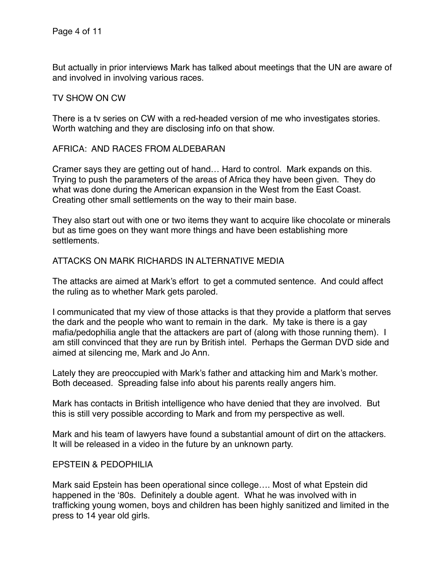But actually in prior interviews Mark has talked about meetings that the UN are aware of and involved in involving various races.

## TV SHOW ON CW

There is a tv series on CW with a red-headed version of me who investigates stories. Worth watching and they are disclosing info on that show.

AFRICA: AND RACES FROM ALDEBARAN

Cramer says they are getting out of hand… Hard to control. Mark expands on this. Trying to push the parameters of the areas of Africa they have been given. They do what was done during the American expansion in the West from the East Coast. Creating other small settlements on the way to their main base.

They also start out with one or two items they want to acquire like chocolate or minerals but as time goes on they want more things and have been establishing more settlements.

# ATTACKS ON MARK RICHARDS IN ALTERNATIVE MEDIA

The attacks are aimed at Mark's effort to get a commuted sentence. And could affect the ruling as to whether Mark gets paroled.

I communicated that my view of those attacks is that they provide a platform that serves the dark and the people who want to remain in the dark. My take is there is a gay mafia/pedophilia angle that the attackers are part of (along with those running them). I am still convinced that they are run by British intel. Perhaps the German DVD side and aimed at silencing me, Mark and Jo Ann.

Lately they are preoccupied with Mark's father and attacking him and Mark's mother. Both deceased. Spreading false info about his parents really angers him.

Mark has contacts in British intelligence who have denied that they are involved. But this is still very possible according to Mark and from my perspective as well.

Mark and his team of lawyers have found a substantial amount of dirt on the attackers. It will be released in a video in the future by an unknown party.

### EPSTEIN & PEDOPHILIA

Mark said Epstein has been operational since college…. Most of what Epstein did happened in the '80s. Definitely a double agent. What he was involved with in trafficking young women, boys and children has been highly sanitized and limited in the press to 14 year old girls.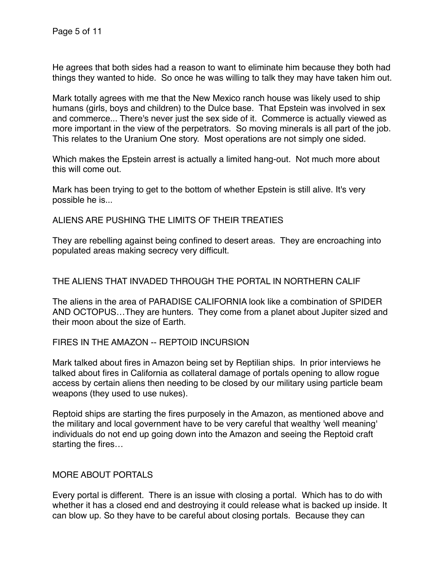He agrees that both sides had a reason to want to eliminate him because they both had things they wanted to hide. So once he was willing to talk they may have taken him out.

Mark totally agrees with me that the New Mexico ranch house was likely used to ship humans (girls, boys and children) to the Dulce base. That Epstein was involved in sex and commerce... There's never just the sex side of it. Commerce is actually viewed as more important in the view of the perpetrators. So moving minerals is all part of the job. This relates to the Uranium One story. Most operations are not simply one sided.

Which makes the Epstein arrest is actually a limited hang-out. Not much more about this will come out.

Mark has been trying to get to the bottom of whether Epstein is still alive. It's very possible he is...

ALIENS ARE PUSHING THE LIMITS OF THEIR TREATIES

They are rebelling against being confined to desert areas. They are encroaching into populated areas making secrecy very difficult.

THE ALIENS THAT INVADED THROUGH THE PORTAL IN NORTHERN CALIF

The aliens in the area of PARADISE CALIFORNIA look like a combination of SPIDER AND OCTOPUS…They are hunters. They come from a planet about Jupiter sized and their moon about the size of Earth.

FIRES IN THE AMAZON -- REPTOID INCURSION

Mark talked about fires in Amazon being set by Reptilian ships. In prior interviews he talked about fires in California as collateral damage of portals opening to allow rogue access by certain aliens then needing to be closed by our military using particle beam weapons (they used to use nukes).

Reptoid ships are starting the fires purposely in the Amazon, as mentioned above and the military and local government have to be very careful that wealthy 'well meaning' individuals do not end up going down into the Amazon and seeing the Reptoid craft starting the fires…

# MORE ABOUT PORTALS

Every portal is different. There is an issue with closing a portal. Which has to do with whether it has a closed end and destroying it could release what is backed up inside. It can blow up. So they have to be careful about closing portals. Because they can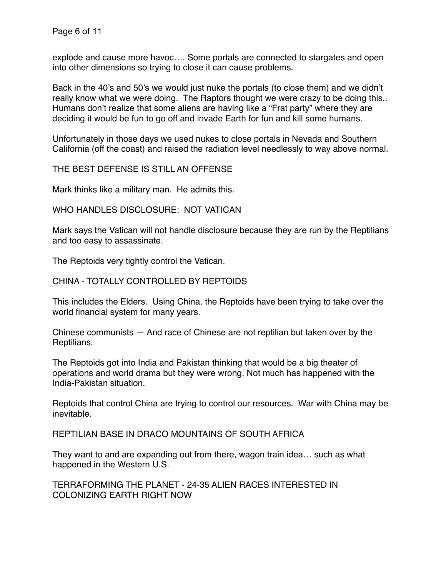explode and cause more havoc…. Some portals are connected to stargates and open into other dimensions so trying to close it can cause problems.

Back in the 40's and 50's we would just nuke the portals (to close them) and we didn't really know what we were doing. The Raptors thought we were crazy to be doing this.. Humans don't realize that some aliens are having like a "Frat party" where they are deciding it would be fun to go off and invade Earth for fun and kill some humans.

Unfortunately in those days we used nukes to close portals in Nevada and Southern California (off the coast) and raised the radiation level needlessly to way above normal.

THE BEST DEFENSE IS STILL AN OFFENSE

Mark thinks like a military man. He admits this.

WHO HANDLES DISCLOSURE: NOT VATICAN

Mark says the Vatican will not handle disclosure because they are run by the Reptilians and too easy to assassinate.

The Reptoids very tightly control the Vatican.

CHINA - TOTALLY CONTROLLED BY REPTOIDS

This includes the Elders. Using China, the Reptoids have been trying to take over the world financial system for many years.

Chinese communists — And race of Chinese are not reptilian but taken over by the Reptilians.

The Reptoids got into India and Pakistan thinking that would be a big theater of operations and world drama but they were wrong. Not much has happened with the India-Pakistan situation.

Reptoids that control China are trying to control our resources. War with China may be inevitable.

REPTILIAN BASE IN DRACO MOUNTAINS OF SOUTH AFRICA

They want to and are expanding out from there, wagon train idea… such as what happened in the Western U.S.

TERRAFORMING THE PLANET - 24-35 ALIEN RACES INTERESTED IN COLONIZING EARTH RIGHT NOW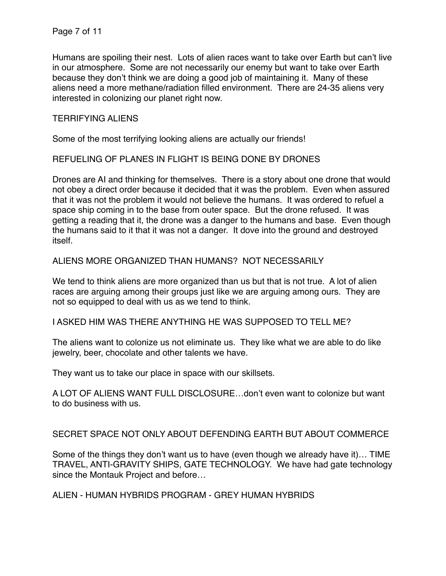Humans are spoiling their nest. Lots of alien races want to take over Earth but can't live in our atmosphere. Some are not necessarily our enemy but want to take over Earth because they don't think we are doing a good job of maintaining it. Many of these aliens need a more methane/radiation filled environment. There are 24-35 aliens very interested in colonizing our planet right now.

### TERRIFYING ALIENS

Some of the most terrifying looking aliens are actually our friends!

REFUELING OF PLANES IN FLIGHT IS BEING DONE BY DRONES

Drones are AI and thinking for themselves. There is a story about one drone that would not obey a direct order because it decided that it was the problem. Even when assured that it was not the problem it would not believe the humans. It was ordered to refuel a space ship coming in to the base from outer space. But the drone refused. It was getting a reading that it, the drone was a danger to the humans and base. Even though the humans said to it that it was not a danger. It dove into the ground and destroyed itself.

ALIENS MORE ORGANIZED THAN HUMANS? NOT NECESSARILY

We tend to think aliens are more organized than us but that is not true. A lot of alien races are arguing among their groups just like we are arguing among ours. They are not so equipped to deal with us as we tend to think.

I ASKED HIM WAS THERE ANYTHING HE WAS SUPPOSED TO TELL ME?

The aliens want to colonize us not eliminate us. They like what we are able to do like jewelry, beer, chocolate and other talents we have.

They want us to take our place in space with our skillsets.

A LOT OF ALIENS WANT FULL DISCLOSURE…don't even want to colonize but want to do business with us.

SECRET SPACE NOT ONLY ABOUT DEFENDING EARTH BUT ABOUT COMMERCE

Some of the things they don't want us to have (even though we already have it)… TIME TRAVEL, ANTI-GRAVITY SHIPS, GATE TECHNOLOGY. We have had gate technology since the Montauk Project and before…

ALIEN - HUMAN HYBRIDS PROGRAM - GREY HUMAN HYBRIDS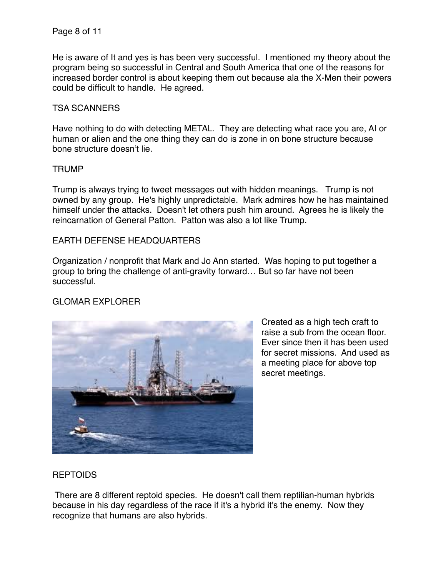He is aware of It and yes is has been very successful. I mentioned my theory about the program being so successful in Central and South America that one of the reasons for increased border control is about keeping them out because ala the X-Men their powers could be difficult to handle. He agreed.

#### TSA SCANNERS

Have nothing to do with detecting METAL. They are detecting what race you are, AI or human or alien and the one thing they can do is zone in on bone structure because bone structure doesn't lie.

#### **TRUMP**

Trump is always trying to tweet messages out with hidden meanings. Trump is not owned by any group. He's highly unpredictable. Mark admires how he has maintained himself under the attacks. Doesn't let others push him around. Agrees he is likely the reincarnation of General Patton. Patton was also a lot like Trump.

#### EARTH DEFENSE HEADQUARTERS

Organization / nonprofit that Mark and Jo Ann started. Was hoping to put together a group to bring the challenge of anti-gravity forward… But so far have not been successful.

# GLOMAR EXPLORER



Created as a high tech craft to raise a sub from the ocean floor. Ever since then it has been used for secret missions. And used as a meeting place for above top secret meetings.

### REPTOIDS

 There are 8 different reptoid species. He doesn't call them reptilian-human hybrids because in his day regardless of the race if it's a hybrid it's the enemy. Now they recognize that humans are also hybrids.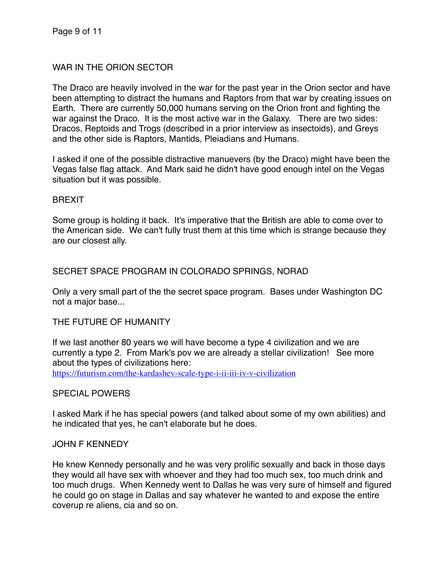# WAR IN THE ORION SECTOR

The Draco are heavily involved in the war for the past year in the Orion sector and have been attempting to distract the humans and Raptors from that war by creating issues on Earth. There are currently 50,000 humans serving on the Orion front and fighting the war against the Draco. It is the most active war in the Galaxy. There are two sides: Dracos, Reptoids and Trogs (described in a prior interview as insectoids), and Greys and the other side is Raptors, Mantids, Pleiadians and Humans.

I asked if one of the possible distractive manuevers (by the Draco) might have been the Vegas false flag attack. And Mark said he didn't have good enough intel on the Vegas situation but it was possible.

#### BREXIT

Some group is holding it back. It's imperative that the British are able to come over to the American side. We can't fully trust them at this time which is strange because they are our closest ally.

## SECRET SPACE PROGRAM IN COLORADO SPRINGS, NORAD

Only a very small part of the the secret space program. Bases under Washington DC not a major base...

### THE FUTURE OF HUMANITY

If we last another 80 years we will have become a type 4 civilization and we are currently a type 2. From Mark's pov we are already a stellar civilization! See more about the types of civilizations here:

<https://futurism.com/the-kardashev-scale-type-i-ii-iii-iv-v-civilization>

#### SPECIAL POWERS

I asked Mark if he has special powers (and talked about some of my own abilities) and he indicated that yes, he can't elaborate but he does.

#### JOHN F KENNEDY

He knew Kennedy personally and he was very prolific sexually and back in those days they would all have sex with whoever and they had too much sex, too much drink and too much drugs. When Kennedy went to Dallas he was very sure of himself and figured he could go on stage in Dallas and say whatever he wanted to and expose the entire coverup re aliens, cia and so on.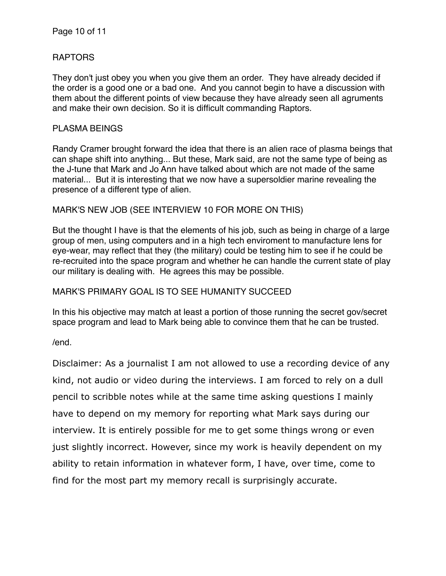# RAPTORS

They don't just obey you when you give them an order. They have already decided if the order is a good one or a bad one. And you cannot begin to have a discussion with them about the different points of view because they have already seen all agruments and make their own decision. So it is difficult commanding Raptors.

### PLASMA BEINGS

Randy Cramer brought forward the idea that there is an alien race of plasma beings that can shape shift into anything... But these, Mark said, are not the same type of being as the J-tune that Mark and Jo Ann have talked about which are not made of the same material... But it is interesting that we now have a supersoldier marine revealing the presence of a different type of alien.

## MARK'S NEW JOB (SEE INTERVIEW 10 FOR MORE ON THIS)

But the thought I have is that the elements of his job, such as being in charge of a large group of men, using computers and in a high tech enviroment to manufacture lens for eye-wear, may reflect that they (the military) could be testing him to see if he could be re-recruited into the space program and whether he can handle the current state of play our military is dealing with. He agrees this may be possible.

# MARK'S PRIMARY GOAL IS TO SEE HUMANITY SUCCEED

In this his objective may match at least a portion of those running the secret gov/secret space program and lead to Mark being able to convince them that he can be trusted.

/end.

Disclaimer: As a journalist I am not allowed to use a recording device of any kind, not audio or video during the interviews. I am forced to rely on a dull pencil to scribble notes while at the same time asking questions I mainly have to depend on my memory for reporting what Mark says during our interview. It is entirely possible for me to get some things wrong or even just slightly incorrect. However, since my work is heavily dependent on my ability to retain information in whatever form, I have, over time, come to find for the most part my memory recall is surprisingly accurate.